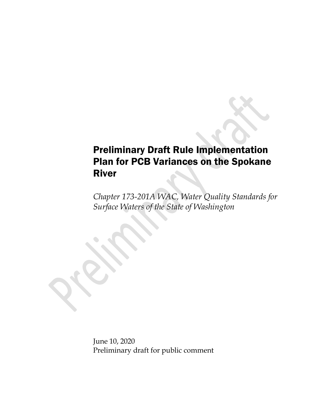## Preliminary Draft Rule Implementation Plan for PCB Variances on the Spokane River

*Chapter 173-201A WAC, Water Quality Standards for Surface Waters of the State of Washington*

June 10, 2020 Preliminary draft for public comment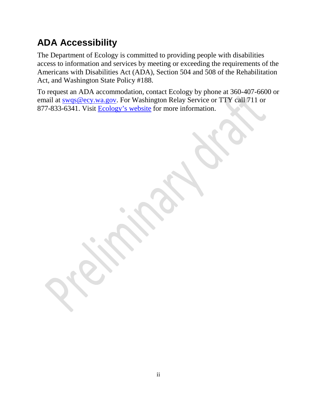# **ADA Accessibility**

The Department of Ecology is committed to providing people with disabilities access to information and services by meeting or exceeding the requirements of the Americans with Disabilities Act (ADA), Section 504 and 508 of the Rehabilitation Act, and Washington State Policy #188.

To request an ADA accommodation, contact Ecology by phone at 360-407-6600 or email at [swqs@ecy.wa.gov.](mailto:swqs@ecy.wa.gov) For Washington Relay Service or TTY call 711 or 877-833-6341. Visit [Ecology's website](https://ecology.wa.gov/) for more information.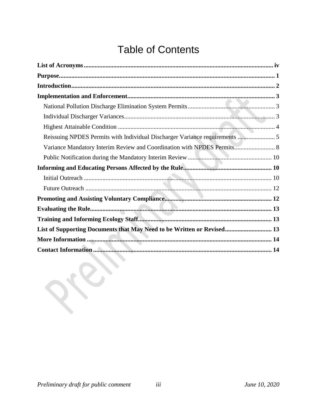# **Table of Contents**

| Reissuing NPDES Permits with Individual Discharger Variance requirements  5 |
|-----------------------------------------------------------------------------|
| Variance Mandatory Interim Review and Coordination with NPDES Permits 8     |
|                                                                             |
|                                                                             |
|                                                                             |
|                                                                             |
|                                                                             |
|                                                                             |
|                                                                             |
| List of Supporting Documents that May Need to be Written or Revised 13      |
|                                                                             |
|                                                                             |

JEY.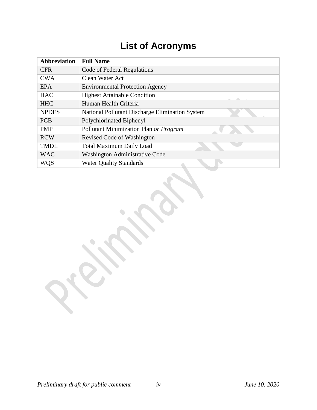# **List of Acronyms**

<span id="page-3-0"></span>

| <b>Abbreviation</b> | <b>Full Name</b>                                |  |  |  |  |
|---------------------|-------------------------------------------------|--|--|--|--|
| <b>CFR</b>          | Code of Federal Regulations                     |  |  |  |  |
| <b>CWA</b>          | Clean Water Act                                 |  |  |  |  |
| <b>EPA</b>          | <b>Environmental Protection Agency</b>          |  |  |  |  |
| <b>HAC</b>          | <b>Highest Attainable Condition</b>             |  |  |  |  |
| <b>HHC</b>          | Human Health Criteria                           |  |  |  |  |
| <b>NPDES</b>        | National Pollutant Discharge Elimination System |  |  |  |  |
| <b>PCB</b>          | Polychlorinated Biphenyl                        |  |  |  |  |
| <b>PMP</b>          | Pollutant Minimization Plan or Program          |  |  |  |  |
| <b>RCW</b>          | Revised Code of Washington                      |  |  |  |  |
| <b>TMDL</b>         | <b>Total Maximum Daily Load</b>                 |  |  |  |  |
| <b>WAC</b>          | Washington Administrative Code                  |  |  |  |  |
| <b>WQS</b>          | <b>Water Quality Standards</b>                  |  |  |  |  |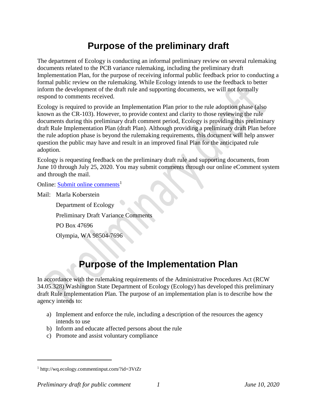## **Purpose of the preliminary draft**

<span id="page-4-0"></span>The department of Ecology is conducting an informal preliminary review on several rulemaking documents related to the PCB variance rulemaking, including the preliminary draft Implementation Plan, for the purpose of receiving informal public feedback prior to conducting a formal public review on the rulemaking. While Ecology intends to use the feedback to better inform the development of the draft rule and supporting documents, we will not formally respond to comments received.

Ecology is required to provide an Implementation Plan prior to the rule adoption phase (also known as the CR-103). However, to provide context and clarity to those reviewing the rule documents during this preliminary draft comment period, Ecology is providing this preliminary draft Rule Implementation Plan (draft Plan). Although providing a preliminary draft Plan before the rule adoption phase is beyond the rulemaking requirements, this document will help answer question the public may have and result in an improved final Plan for the anticipated rule adoption.

Ecology is requesting feedback on the preliminary draft rule and supporting documents, from June 10 through July 25, 2020. You may submit comments through our online eComment system and through the mail.

Online: [Submit online comments](http://wq.ecology.commentinput.com/?id=3VtZr)<sup>[1](#page-4-1)</sup>

Mail: Marla Koberstein

Department of Ecology Preliminary Draft Variance Comments PO Box 47696

Olympia, WA 98504-7696

## **Purpose of the Implementation Plan**

In accordance with the rulemaking requirements of the Administrative Procedures Act (RCW 34.05.328) Washington State Department of Ecology (Ecology) has developed this preliminary draft Rule Implementation Plan. The purpose of an implementation plan is to describe how the agency intends to:

- a) Implement and enforce the rule, including a description of the resources the agency intends to use
- b) Inform and educate affected persons about the rule
- c) Promote and assist voluntary compliance

<span id="page-4-1"></span><sup>1</sup> http://wq.ecology.commentinput.com/?id=3VtZr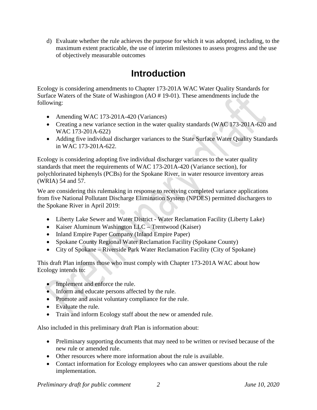<span id="page-5-0"></span>d) Evaluate whether the rule achieves the purpose for which it was adopted, including, to the maximum extent practicable, the use of interim milestones to assess progress and the use of objectively measurable outcomes

### **Introduction**

Ecology is considering amendments to Chapter 173-201A WAC Water Quality Standards for Surface Waters of the State of Washington (AO # 19-01). These amendments include the following:

- Amending WAC 173-201A-420 (Variances)
- Creating a new variance section in the water quality standards (WAC 173-201A-620 and WAC 173-201A-622)
- Adding five individual discharger variances to the State Surface Water Quality Standards in WAC 173-201A-622.

Ecology is considering adopting five individual discharger variances to the water quality standards that meet the requirements of WAC 173-201A-420 (Variance section), for polychlorinated biphenyls (PCBs) for the Spokane River, in water resource inventory areas (WRIA) 54 and 57.

We are considering this rulemaking in response to receiving completed variance applications from five National Pollutant Discharge Elimination System (NPDES) permitted dischargers to the Spokane River in April 2019:

- Liberty Lake Sewer and Water District Water Reclamation Facility (Liberty Lake)
- Kaiser Aluminum Washington LLC Trentwood (Kaiser)
- Inland Empire Paper Company (Inland Empire Paper)
- Spokane County Regional Water Reclamation Facility (Spokane County)
- City of Spokane Riverside Park Water Reclamation Facility (City of Spokane)

This draft Plan informs those who must comply with Chapter 173-201A WAC about how Ecology intends to:

- Implement and enforce the rule.
- Inform and educate persons affected by the rule.
- Promote and assist voluntary compliance for the rule.
- Evaluate the rule.
- Train and inform Ecology staff about the new or amended rule.

Also included in this preliminary draft Plan is information about:

- Preliminary supporting documents that may need to be written or revised because of the new rule or amended rule.
- Other resources where more information about the rule is available.
- Contact information for Ecology employees who can answer questions about the rule implementation.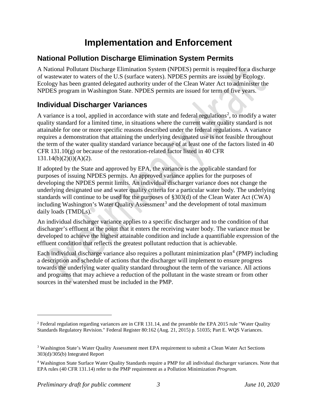## **Implementation and Enforcement**

### <span id="page-6-1"></span><span id="page-6-0"></span>**National Pollution Discharge Elimination System Permits**

A National Pollutant Discharge Elimination System (NPDES) permit is required for a discharge of wastewater to waters of the U.S (surface waters). NPDES permits are issued by Ecology. Ecology has been granted delegated authority under of the Clean Water Act to administer the NPDES program in Washington State. NPDES permits are issued for term of five years.

### <span id="page-6-2"></span>**Individual Discharger Variances**

A variance is a tool, applied in accordance with state and federal regulations<sup>[2](#page-6-3)</sup>, to modify a water quality standard for a limited time, in situations where the current water quality standard is not attainable for one or more specific reasons described under the federal regulations. A variance requires a demonstration that attaining the underlying designated use is not feasible throughout the term of the water quality standard variance because of at least one of the factors listed in 40 CFR  $131.10(g)$  or because of the restoration-related factor listed in 40 CFR  $131.14(b)(2)(i)(A)(2)$ .

If adopted by the State and approved by EPA, the variance is the applicable standard for purposes of issuing NPDES permits. An approved variance applies for the purposes of developing the NPDES permit limits. An individual discharger variance does not change the underlying designated use and water quality criteria for a particular water body. The underlying standards will continue to be used for the purposes of §303(d) of the Clean Water Act (CWA) including Washington's Water Quality Assessment<sup>[3](#page-6-4)</sup> and the development of total maximum daily loads (TMDLs).

An individual discharger variance applies to a specific discharger and to the condition of that discharger's effluent at the point that it enters the receiving water body. The variance must be developed to achieve the highest attainable condition and include a quantifiable expression of the effluent condition that reflects the greatest pollutant reduction that is achievable.

Each individual discharge variance also requires a pollutant minimization plan<sup>[4](#page-6-5)</sup> (PMP) including a description and schedule of actions that the discharger will implement to ensure progress towards the underlying water quality standard throughout the term of the variance. All actions and programs that may achieve a reduction of the pollutant in the waste stream or from other sources in the watershed must be included in the PMP.

<span id="page-6-3"></span><sup>&</sup>lt;sup>2</sup> Federal regulation regarding variances are in CFR 131.14, and the preamble the EPA 2015 rule "Water Quality" Standards Regulatory Revision." Federal Register 80:162 (Aug. 21, 2015) p. 51035; Part E. WQS Variances.

<span id="page-6-4"></span><sup>3</sup> Washington State's Water Quality Assessment meet EPA requirement to submit a Clean Water Act Sections 303(d)/305(b) Integrated Report

<span id="page-6-5"></span><sup>4</sup> Washington State Surface Water Quality Standards require a PMP for all individual discharger variances. Note that EPA rules (40 CFR 131.14) refer to the PMP requirement as a Pollution Minimization *Program*.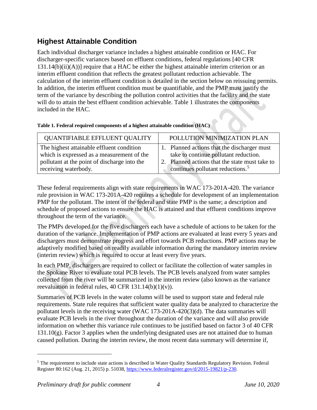### <span id="page-7-0"></span>**Highest Attainable Condition**

Each individual discharger variance includes a highest attainable condition or HAC. For discharger-specific variances based on effluent conditions, federal regulations [40 CFR  $131.14(b)(ii)(A))$ ] require that a HAC be either the highest attainable interim criterion or an interim effluent condition that reflects the greatest pollutant reduction achievable. The calculation of the interim effluent condition is detailed in the section below on reissuing permits. In addition, the interim effluent condition must be quantifiable, and the PMP must justify the term of the variance by describing the pollution control activities that the facility and the state will do to attain the best effluent condition achievable. Table 1 illustrates the components included in the HAC.

| <b>QUANTIFIABLE EFFLUENT QUALITY</b>         | POLLUTION MINIMIZATION PLAN                    |
|----------------------------------------------|------------------------------------------------|
| The highest attainable effluent condition    | 1. Planned actions that the discharger must    |
| which is expressed as a measurement of the   | take to continue pollutant reduction.          |
| pollutant at the point of discharge into the | 2. Planned actions that the state must take to |
| receiving waterbody.                         | continues pollutant reductions. <sup>5</sup>   |

These federal requirements align with state requirements in WAC 173-201A-420. The variance rule provision in WAC 173-201A-420 requires a schedule for development of an implementation PMP for the pollutant. The intent of the federal and state PMP is the same; a description and schedule of proposed actions to ensure the HAC is attained and that effluent conditions improve throughout the term of the variance.

The PMPs developed for the five dischargers each have a schedule of actions to be taken for the duration of the variance. Implementation of PMP actions are evaluated at least every 5 years and dischargers must demonstrate progress and effort towards PCB reductions. PMP actions may be adaptively modified based on readily available information during the mandatory interim review (interim review) which is required to occur at least every five years.

In each PMP, dischargers are required to collect or facilitate the collection of water samples in the Spokane River to evaluate total PCB levels. The PCB levels analyzed from water samples collected from the river will be summarized in the interim review (also known as the variance reevaluation in federal rules,  $40 \text{ CFR } 131.14(b)(1)(v)$ .

Summaries of PCB levels in the water column will be used to support state and federal rule requirements. State rule requires that sufficient water quality data be analyzed to characterize the pollutant levels in the receiving water (WAC 173-201A-420(3)(d). The data summaries will evaluate PCB levels in the river throughout the duration of the variance and will also provide information on whether this variance rule continues to be justified based on factor 3 of 40 CFR  $131.10(g)$ . Factor 3 applies when the underlying designated uses are not attained due to human caused pollution. During the interim review, the most recent data summary will determine if,

<span id="page-7-1"></span><sup>5</sup> The requirement to include state actions is described in Water Quality Standards Regulatory Revision. Federal Register 80:162 (Aug. 21, 2015) p. 51038, [https://www.federalregister.gov/d/2015-19821/p-230.](https://www.federalregister.gov/d/2015-19821/p-230)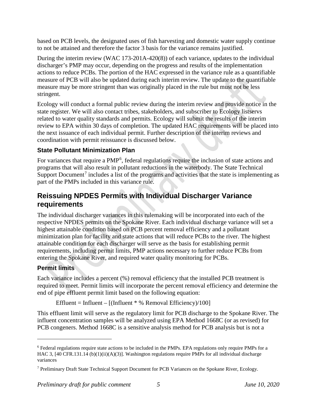based on PCB levels, the designated uses of fish harvesting and domestic water supply continue to not be attained and therefore the factor 3 basis for the variance remains justified.

During the interim review (WAC 173-201A-420(8)) of each variance, updates to the individual discharger's PMP may occur, depending on the progress and results of the implementation actions to reduce PCBs. The portion of the HAC expressed in the variance rule as a quantifiable measure of PCB will also be updated during each interim review. The update to the quantifiable measure may be more stringent than was originally placed in the rule but must not be less stringent.

Ecology will conduct a formal public review during the interim review and provide notice in the state register. We will also contact tribes, stakeholders, and subscriber to Ecology listservs related to water quality standards and permits. Ecology will submit the results of the interim review to EPA within 30 days of completion. The updated HAC requirements will be placed into the next issuance of each individual permit. Further description of the interim reviews and coordination with permit reissuance is discussed below.

#### **State Pollutant Minimization Plan**

For variances that require a PMP<sup>[6](#page-8-1)</sup>, federal regulations require the inclusion of state actions and programs that will also result in pollutant reductions in the waterbody. The State Technical Support Document<sup>[7](#page-8-2)</sup> includes a list of the programs and activities that the state is implementing as part of the PMPs included in this variance rule.

### <span id="page-8-0"></span>**Reissuing NPDES Permits with Individual Discharger Variance requirements**

The individual discharger variances in this rulemaking will be incorporated into each of the respective NPDES permits on the Spokane River. Each individual discharge variance will set a highest attainable condition based on PCB percent removal efficiency and a pollutant minimization plan for facility and state actions that will reduce PCBs to the river. The highest attainable condition for each discharger will serve as the basis for establishing permit requirements, including permit limits, PMP actions necessary to further reduce PCBs from entering the Spokane River, and required water quality monitoring for PCBs.

### **Permit limits**

 $\overline{a}$ 

Each variance includes a percent (%) removal efficiency that the installed PCB treatment is required to meet. Permit limits will incorporate the percent removal efficiency and determine the end of pipe effluent permit limit based on the following equation:

Effluent = Influent –  $[(Influent * % Removal Efficiency)/100]$ 

This effluent limit will serve as the regulatory limit for PCB discharge to the Spokane River. The influent concentration samples will be analyzed using EPA Method 1668C (or as revised) for PCB congeners. Method 1668C is a sensitive analysis method for PCB analysis but is not a

<span id="page-8-1"></span><sup>6</sup> Federal regulations require state actions to be included in the PMPs. EPA regulations only require PMPs for a HAC 3, [40 CFR.131.14 (b)(1)(ii)(A)(3)]. Washington regulations require PMPs for all individual discharge variances

<span id="page-8-2"></span><sup>7</sup> Preliminary Draft State Technical Support Document for PCB Variances on the Spokane River, Ecology.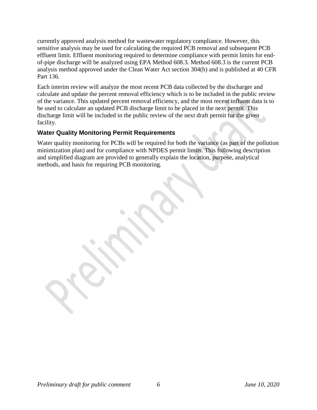currently approved analysis method for wastewater regulatory compliance. However, this sensitive analysis may be used for calculating the required PCB removal and subsequent PCB effluent limit. Effluent monitoring required to determine compliance with permit limits for endof-pipe discharge will be analyzed using EPA Method 608.3. Method 608.3 is the current PCB analysis method approved under the Clean Water Act section 304(h) and is published at 40 CFR Part 136.

Each interim review will analyze the most recent PCB data collected by the discharger and calculate and update the percent removal efficiency which is to be included in the public review of the variance. This updated percent removal efficiency, and the most recent influent data is to be used to calculate an updated PCB discharge limit to be placed in the next permit. This discharge limit will be included in the public review of the next draft permit for the given facility.

#### **Water Quality Monitoring Permit Requirements**

Water quality monitoring for PCBs will be required for both the variance (as part of the pollution minimization plan) and for compliance with NPDES permit limits. This following description and simplified diagram are provided to generally explain the location, purpose, analytical methods, and basis for requiring PCB monitoring.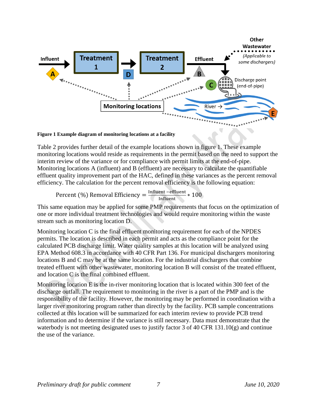

**Figure 1 Example diagram of monitoring locations at a facility**

Table 2 provides further detail of the example locations shown in figure 1. These example monitoring locations would reside as requirements in the permit based on the need to support the interim review of the variance or for compliance with permit limits at the end-of-pipe. Monitoring locations A (influent) and B (effluent) are necessary to calculate the quantifiable effluent quality improvement part of the HAC, defined in these variances as the percent removal efficiency. The calculation for the percent removal efficiency is the following equation:

Percent (%) Removal Efficiency =  $\frac{\text{Influent} - \text{effluent}}{\text{Influent}} * 100$ 

This same equation may be applied for some PMP requirements that focus on the optimization of one or more individual treatment technologies and would require monitoring within the waste stream such as monitoring location D.

Monitoring location C is the final effluent monitoring requirement for each of the NPDES permits. The location is described in each permit and acts as the compliance point for the calculated PCB discharge limit. Water quality samples at this location will be analyzed using EPA Method 608.3 in accordance with 40 CFR Part 136. For municipal dischargers monitoring locations B and C may be at the same location. For the industrial dischargers that combine treated effluent with other wastewater, monitoring location B will consist of the treated effluent, and location C is the final combined effluent.

Monitoring location E is the in-river monitoring location that is located within 300 feet of the discharge outfall. The requirement to monitoring in the river is a part of the PMP and is the responsibility of the facility. However, the monitoring may be performed in coordination with a larger river monitoring program rather than directly by the facility. PCB sample concentrations collected at this location will be summarized for each interim review to provide PCB trend information and to determine if the variance is still necessary. Data must demonstrate that the waterbody is not meeting designated uses to justify factor 3 of 40 CFR 131.10(g) and continue the use of the variance.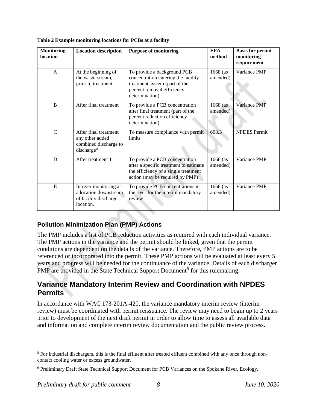| <b>Monitoring</b><br>location | <b>Location description</b>                                                                 | <b>Purpose of monitoring</b>                                                                                                                        | <b>EPA</b><br>method | <b>Basis for permit</b><br>monitoring<br>requirement |
|-------------------------------|---------------------------------------------------------------------------------------------|-----------------------------------------------------------------------------------------------------------------------------------------------------|----------------------|------------------------------------------------------|
| $\mathsf{A}$                  | At the beginning of<br>the waste-stream,<br>prior to treatment                              | To provide a background PCB<br>concentration entering the facility<br>treatment system (part of the<br>percent removal efficiency<br>determination) | 1668 (as<br>amended) | Variance PMP                                         |
| B                             | After final treatment                                                                       | To provide a PCB concentration<br>after final treatment (part of the<br>percent reduction efficiency<br>determination)                              | 1668 (as<br>amended) | Variance PMP                                         |
| $\mathcal{C}$                 | After final treatment<br>any other added<br>combined discharge to<br>discharge <sup>8</sup> | To measure compliance with permit<br>limits                                                                                                         | 608.3                | <b>NPDES</b> Permit                                  |
| D                             | After treatment 1                                                                           | To provide a PCB concentration<br>after a specific treatment to estimate<br>the efficiency of a single treatment<br>action (may be required by PMP) | 1668 (as<br>amended) | Variance PMP                                         |
| E                             | In river monitoring at<br>a location downstream<br>of facility discharge<br>location.       | To provide PCB concentrations in<br>the river for the interim mandatory<br>review                                                                   | 1668 (as<br>amended) | Variance PMP                                         |

**Table 2 Example monitoring locations for PCBs at a facility**

#### **Pollution Minimization Plan (PMP) Actions**

The PMP includes a list of PCB reduction activities as required with each individual variance. The PMP actions in the variance and the permit should be linked, given that the permit conditions are dependent on the details of the variance. Therefore, PMP actions are to be referenced or incorporated into the permit. These PMP actions will be evaluated at least every 5 years and progress will be needed for the continuance of the variance. Details of each discharger PMP are provided in the State Technical Support Document<sup>[9](#page-11-2)</sup> for this rulemaking.

### <span id="page-11-0"></span>**Variance Mandatory Interim Review and Coordination with NPDES Permits**

In accordance with WAC 173-201A-420, the variance mandatory interim review (interim review) must be coordinated with permit reissuance. The review may need to begin up to 2 years prior to development of the next draft permit in order to allow time to assess all available data and information and complete interim review documentation and the public review process.

<span id="page-11-1"></span><sup>8</sup> For industrial dischargers, this is the final effluent after treated effluent combined with any once through noncontact cooling water or excess groundwater.

<span id="page-11-2"></span><sup>&</sup>lt;sup>9</sup> Preliminary Draft State Technical Support Document for PCB Variances on the Spokane River, Ecology.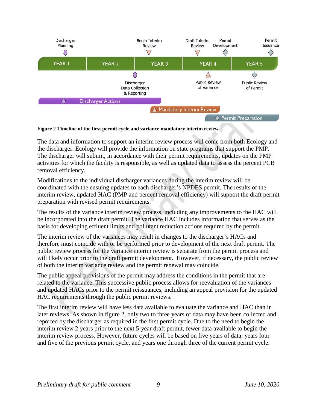

#### **Figure 2 Timeline of the first permit cycle and variance mandatory interim review**

The data and information to support an interim review process will come from both Ecology and the discharger. Ecology will provide the information on state programs that support the PMP. The discharger will submit, in accordance with their permit requirements, updates on the PMP activities for which the facility is responsible, as well as updated data to assess the percent PCB removal efficiency.

Modifications to the individual discharger variances during the interim review will be coordinated with the ensuing updates to each discharger's NPDES permit. The results of the interim review, updated HAC (PMP and percent removal efficiency) will support the draft permit preparation with revised permit requirements.

The results of the variance interim review process, including any improvements to the HAC will be incorporated into the draft permit. The variance HAC includes information that serves as the basis for developing effluent limits and pollutant reduction actions required by the permit.

The interim review of the variances may result in changes to the discharger's HACs and therefore must coincide with or be performed prior to development of the next draft permit. The public review process for the variance interim review is separate from the permit process and will likely occur prior to the draft permit development. However, if necessary, the public review of both the interim variance review and the permit renewal may coincide.

The public appeal provisions of the permit may address the conditions in the permit that are related to the variance. This successive public process allows for reevaluation of the variances and updated HACs prior to the permit reissuances, including an appeal provision for the updated HAC requirements through the public permit reviews.

The first interim review will have less data available to evaluate the variance and HAC than in later reviews. As shown in figure 2, only two to three years of data may have been collected and reported by the discharger as required in the first permit cycle. Due to the need to begin the interim review 2 years prior to the next 5-year draft permit, fewer data available to begin the interim review process. However, future cycles will be based on five years of data; years four and five of the previous permit cycle, and years one through three of the current permit cycle.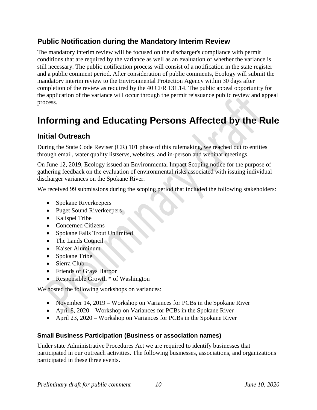### <span id="page-13-0"></span>**Public Notification during the Mandatory Interim Review**

The mandatory interim review will be focused on the discharger's compliance with permit conditions that are required by the variance as well as an evaluation of whether the variance is still necessary. The public notification process will consist of a notification in the state register and a public comment period. After consideration of public comments, Ecology will submit the mandatory interim review to the Environmental Protection Agency within 30 days after completion of the review as required by the 40 CFR 131.14. The public appeal opportunity for the application of the variance will occur through the permit reissuance public review and appeal process.

# <span id="page-13-1"></span>**Informing and Educating Persons Affected by the Rule**

### <span id="page-13-2"></span>**Initial Outreach**

During the State Code Reviser (CR) 101 phase of this rulemaking, we reached out to entities through email, water quality listservs, websites, and in-person and webinar meetings.

On June 12, 2019, Ecology issued an Environmental Impact Scoping notice for the purpose of gathering feedback on the evaluation of environmental risks associated with issuing individual discharger variances on the Spokane River.

We received 99 submissions during the scoping period that included the following stakeholders:

- Spokane Riverkeepers
- Puget Sound Riverkeepers
- Kalispel Tribe
- Concerned Citizens
- Spokane Falls Trout Unlimited
- The Lands Council
- Kaiser Aluminum
- Spokane Tribe
- Sierra Club
- Friends of Grays Harbor
- Responsible Growth \* of Washington

We hosted the following workshops on variances:

- November 14, 2019 Workshop on Variances for PCBs in the Spokane River
- April 8, 2020 Workshop on Variances for PCBs in the Spokane River
- April 23, 2020 Workshop on Variances for PCBs in the Spokane River

### **Small Business Participation (Business or association names)**

Under state Administrative Procedures Act we are required to identify businesses that participated in our outreach activities. The following businesses, associations, and organizations participated in these three events.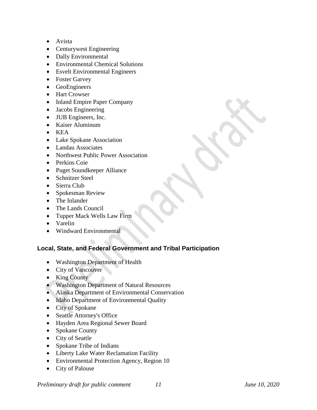- Avista
- Centurywest Engineering
- Dally Environmental
- Environmental Chemical Solutions
- Esvelt Environmental Engineers
- Foster Garvey
- GeoEngineers
- Hart Crowser
- Inland Empire Paper Company
- Jacobs Engineering
- JUB Engineers, Inc.
- Kaiser Aluminum
- KEA
- Lake Spokane Association
- Landau Associates
- Northwest Public Power Association
- Perkins Coie
- Puget Soundkeeper Alliance
- Schnitzer Steel
- Sierra Club
- Spokesman Review
- The Inlander
- The Lands Council
- Tupper Mack Wells Law Firm
- Varelin
- Windward Environmental

#### **Local, State, and Federal Government and Tribal Participation**

- Washington Department of Health
- City of Vancouver
- King County
- Washington Department of Natural Resources
- Alaska Department of Environmental Conservation
- Idaho Department of Environmental Quality
- City of Spokane
- Seattle Attorney's Office
- Hayden Area Regional Sewer Board
- Spokane County
- City of Seattle
- Spokane Tribe of Indians
- Liberty Lake Water Reclamation Facility
- Environmental Protection Agency, Region 10
- City of Palouse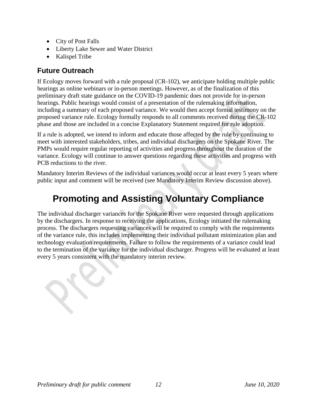- City of Post Falls
- Liberty Lake Sewer and Water District
- Kalispel Tribe

### <span id="page-15-0"></span>**Future Outreach**

If Ecology moves forward with a rule proposal (CR-102), we anticipate holding multiple public hearings as online webinars or in-person meetings. However, as of the finalization of this preliminary draft state guidance on the COVID-19 pandemic does not provide for in-person hearings. Public hearings would consist of a presentation of the rulemaking information, including a summary of each proposed variance. We would then accept formal testimony on the proposed variance rule. Ecology formally responds to all comments received during the CR-102 phase and those are included in a concise Explanatory Statement required for rule adoption.

If a rule is adopted, we intend to inform and educate those affected by the rule by continuing to meet with interested stakeholders, tribes, and individual dischargers on the Spokane River. The PMPs would require regular reporting of activities and progress throughout the duration of the variance. Ecology will continue to answer questions regarding these activities and progress with PCB reductions to the river.

<span id="page-15-1"></span>Mandatory Interim Reviews of the individual variances would occur at least every 5 years where public input and comment will be received (see Mandatory Interim Review discussion above).

# **Promoting and Assisting Voluntary Compliance**

The individual discharger variances for the Spokane River were requested through applications by the dischargers. In response to receiving the applications, Ecology initiated the rulemaking process. The dischargers requesting variances will be required to comply with the requirements of the variance rule, this includes implementing their individual pollutant minimization plan and technology evaluation requirements. Failure to follow the requirements of a variance could lead to the termination of the variance for the individual discharger. Progress will be evaluated at least every 5 years consistent with the mandatory interim review.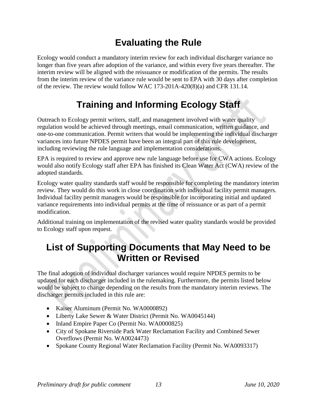# **Evaluating the Rule**

<span id="page-16-0"></span>Ecology would conduct a mandatory interim review for each individual discharger variance no longer than five years after adoption of the variance, and within every five years thereafter. The interim review will be aligned with the reissuance or modification of the permits. The results from the interim review of the variance rule would be sent to EPA with 30 days after completion of the review. The review would follow WAC 173-201A-420(8)(a) and CFR 131.14.

# **Training and Informing Ecology Staff**

<span id="page-16-1"></span>Outreach to Ecology permit writers, staff, and management involved with water quality regulation would be achieved through meetings, email communication, written guidance, and one-to-one communication. Permit writers that would be implementing the individual discharger variances into future NPDES permit have been an integral part of this rule development, including reviewing the rule language and implementation considerations.

EPA is required to review and approve new rule language before use for CWA actions. Ecology would also notify Ecology staff after EPA has finished its Clean Water Act (CWA) review of the adopted standards.

Ecology water quality standards staff would be responsible for completing the mandatory interim review. They would do this work in close coordination with individual facility permit managers. Individual facility permit managers would be responsible for incorporating initial and updated variance requirements into individual permits at the time of reissuance or as part of a permit modification.

Additional training on implementation of the revised water quality standards would be provided to Ecology staff upon request.

### <span id="page-16-2"></span>**List of Supporting Documents that May Need to be Written or Revised**

The final adoption of individual discharger variances would require NPDES permits to be updated for each discharger included in the rulemaking. Furthermore, the permits listed below would be subject to change depending on the results from the mandatory interim reviews. The discharger permits included in this rule are:

- Kaiser Aluminum (Permit No. WA0000892)
- Liberty Lake Sewer & Water District (Permit No. WA0045144)
- Inland Empire Paper Co (Permit No. WA0000825)
- City of Spokane Riverside Park Water Reclamation Facility and Combined Sewer Overflows (Permit No. WA0024473)
- Spokane County Regional Water Reclamation Facility (Permit No. WA0093317)